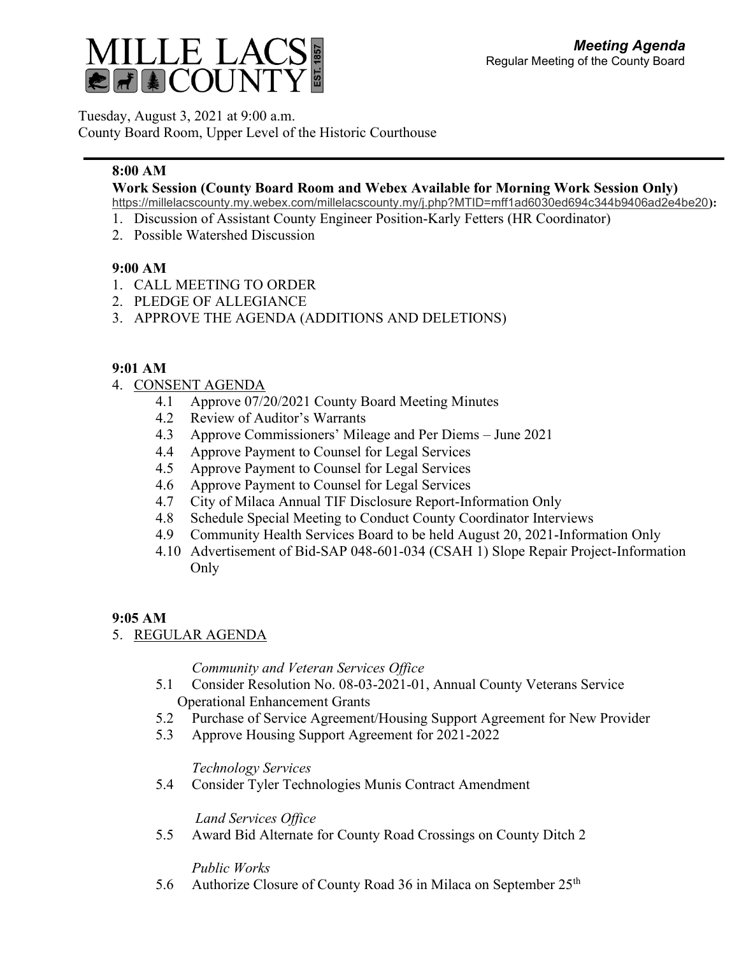

Tuesday, August 3, 2021 at 9:00 a.m.

County Board Room, Upper Level of the Historic Courthouse

# **8:00 AM**

## **Work Session (County Board Room and Webex Available for Morning Work Session Only)**

<https://millelacscounty.my.webex.com/millelacscounty.my/j.php?MTID=mff1ad6030ed694c344b9406ad2e4be20>**):**

- 1. Discussion of Assistant County Engineer Position-Karly Fetters (HR Coordinator)
- 2. Possible Watershed Discussion

## **9:00 AM**

- 1. CALL MEETING TO ORDER
- 2. PLEDGE OF ALLEGIANCE
- 3. APPROVE THE AGENDA (ADDITIONS AND DELETIONS)

## **9:01 AM**

- 4. CONSENT AGENDA
	- 4.1 Approve 07/20/2021 County Board Meeting Minutes
	- 4.2 Review of Auditor's Warrants
	- 4.3 Approve Commissioners' Mileage and Per Diems June 2021
	- 4.4 Approve Payment to Counsel for Legal Services
	- 4.5 Approve Payment to Counsel for Legal Services
	- 4.6 Approve Payment to Counsel for Legal Services
	- 4.7 City of Milaca Annual TIF Disclosure Report-Information Only
	- 4.8 Schedule Special Meeting to Conduct County Coordinator Interviews
	- 4.9 Community Health Services Board to be held August 20, 2021-Information Only
	- 4.10 Advertisement of Bid-SAP 048-601-034 (CSAH 1) Slope Repair Project-Information Only

## **9:05 AM**

5. REGULAR AGENDA

*Community and Veteran Services Office*

- 5.1 Consider Resolution No. 08-03-2021-01, Annual County Veterans Service Operational Enhancement Grants
- 5.2 Purchase of Service Agreement/Housing Support Agreement for New Provider
- 5.3 Approve Housing Support Agreement for 2021-2022

#### *Technology Services*

5.4 Consider Tyler Technologies Munis Contract Amendment

*Land Services Office*

5.5 Award Bid Alternate for County Road Crossings on County Ditch 2

*Public Works*

5.6 Authorize Closure of County Road 36 in Milaca on September 25<sup>th</sup>